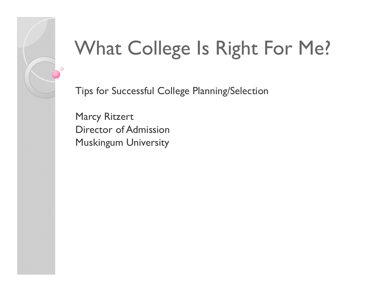# What College Is Right For Me?

Tips for Successful College Planning/Selection

Marcy RitzertDirector of AdmissionMuskingum University

 $\circ$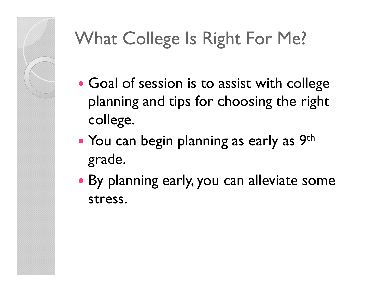### What College Is Right For Me?

- Goal of session is to assist with college planning and tips for choosing the right college.
- $\bullet$ • You can begin planning as early as 9<sup>th</sup> grade.
- By planning early, you can alleviate some stress.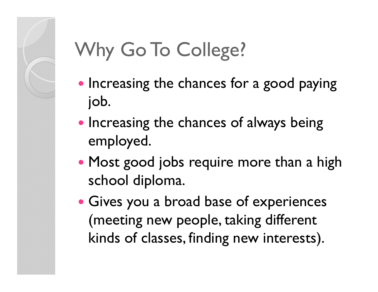### Why Go To College?

- Increasing the chances for a good paying job.
- Increasing the chances of always being employed.
- Most good jobs require more than a high school diploma.
- Gives you a broad base of experiences (meeting new people, taking different kinds of classes, finding new interests).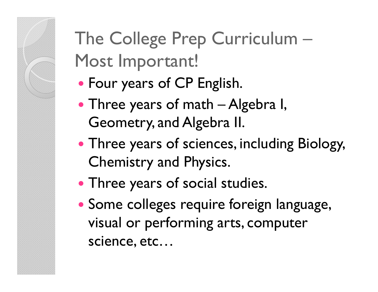### The College Prep Curriculum –Most Important!

- Four years of CP English.
- Three years of math  $-$  Algebra I,<br>Geometry and Algebra II Geometry, and Algebra II.
- Three years of sciences, including Biology, Chemistry and Physics.
- Three years of social studies.
- Some colleges require foreign language, visual or performing arts, computer science, etc…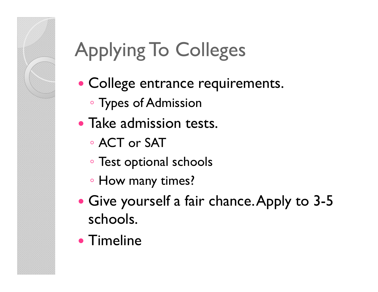# Applying To Colleges

- College entrance requirements.
	- Types of Admission
- Take admission tests.
	- ACT or SAT
	- Test optional schools
	- How many times?
- $\bullet$  Give yourself a fair chance. Apply to 3-5 schools.
- Timeline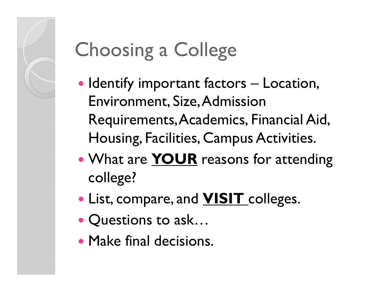### Choosing a College

- Identify important factors Location,<br>Fovironment Size Admission Environment, Size, Admission Requirements, Academics, Financial Aid, Housing, Facilities, Campus Activities.
- What are **YOUR** reasons for attending college?
- List, compare, and **VISIT** colleges.
- $\bullet$ • Questions to ask...
- Make final decisions.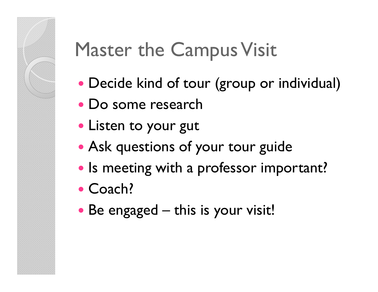### Master the Campus Visit

- Decide kind of tour (group or individual)
- Do some research
- Listen to your gut
- Ask questions of your tour guide
- $\bullet$ • Is meeting with a professor important?
- $\bullet$ • Coach?
- Be engaged this is your visit!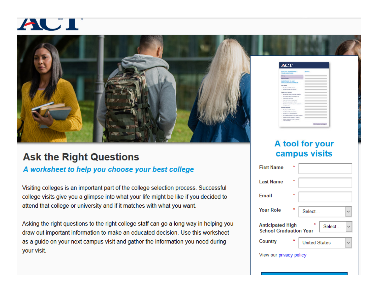



### **Ask the Right Questions**

#### A worksheet to help you choose your best college

Visiting colleges is an important part of the college selection process. Successful college visits give you a glimpse into what your life might be like if you decided to attend that college or university and if it matches with what you want.

Asking the right questions to the right college staff can go a long way in helping you draw out important information to make an educated decision. Use this worksheet as a guide on your next campus visit and gather the information you need during your visit.

### A tool for your campus visits

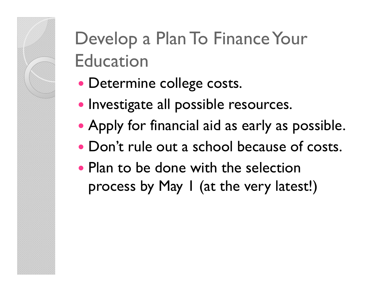### Develop a Plan To Finance Your Education

- Determine college costs.
- · Investigate all possible resources.
- Apply for financial aid as early as possible.
- Don't rule out a school because of costs.
- Plan to be done with the selection process by May 1 (at the very latest!)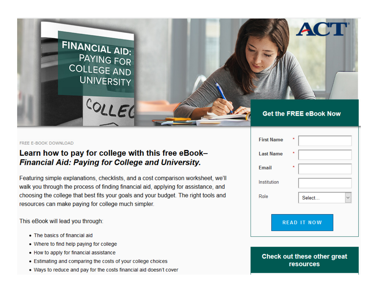

#### FREE E-BOOK DOWNLOAD

#### Learn how to pay for college with this free eBook-**Financial Aid: Paying for College and University.**

Featuring simple explanations, checklists, and a cost comparison worksheet, we'll walk you through the process of finding financial aid, applying for assistance, and choosing the college that best fits your goals and your budget. The right tools and resources can make paying for college much simpler.

This eBook will lead you through:

- The basics of financial aid
- Where to find help paying for college
- How to apply for financial assistance
- Estimating and comparing the costs of your college choices
- . Ways to reduce and pay for the costs financial aid doesn't cover

| <b>First Name</b>  | $\star$                |
|--------------------|------------------------|
| <b>Last Name</b>   | $\ast$                 |
| <b>Email</b>       | $\star$                |
| Institution        |                        |
| Role               | Select<br>$\checkmark$ |
| <b>READ IT NOW</b> |                        |

Check out these other great **resources**